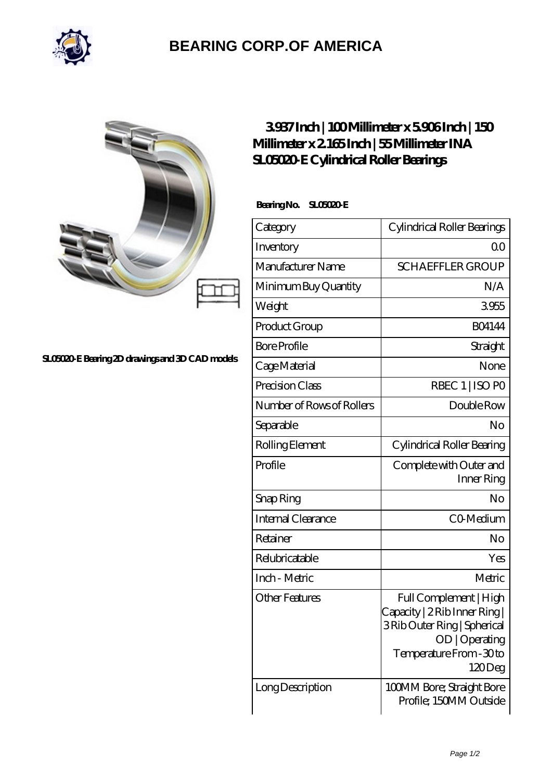

## **[BEARING CORP.OF AMERICA](https://bluemondayreview.com)**

| c |  |
|---|--|
|   |  |

## **[SL05020-E Bearing 2D drawings and 3D CAD models](https://bluemondayreview.com/pic-174846.html)**

## **[3.937 Inch | 100 Millimeter x 5.906 Inch | 150](https://bluemondayreview.com/aI-174846-ina-sl05020-e-cylindrical-roller-bearings.html) [Millimeter x 2.165 Inch | 55 Millimeter INA](https://bluemondayreview.com/aI-174846-ina-sl05020-e-cylindrical-roller-bearings.html) [SL05020-E Cylindrical Roller Bearings](https://bluemondayreview.com/aI-174846-ina-sl05020-e-cylindrical-roller-bearings.html)**

 **Bearing No. SL05020-E**

| Category                  | Cylindrical Roller Bearings                                                                                                                    |
|---------------------------|------------------------------------------------------------------------------------------------------------------------------------------------|
| Inventory                 | 0 <sup>0</sup>                                                                                                                                 |
| Manufacturer Name         | <b>SCHAEFFLER GROUP</b>                                                                                                                        |
| Minimum Buy Quantity      | N/A                                                                                                                                            |
| Weight                    | 3955                                                                                                                                           |
| Product Group             | <b>BO4144</b>                                                                                                                                  |
| <b>Bore Profile</b>       | Straight                                                                                                                                       |
| Cage Material             | None                                                                                                                                           |
| Precision Class           | RBEC 1   ISO PO                                                                                                                                |
| Number of Rows of Rollers | Double Row                                                                                                                                     |
| Separable                 | No                                                                                                                                             |
| Rolling Element           | Cylindrical Roller Bearing                                                                                                                     |
| Profile                   | Complete with Outer and<br>Inner Ring                                                                                                          |
| Snap Ring                 | No                                                                                                                                             |
| Internal Clearance        | CO-Medium                                                                                                                                      |
| Retainer                  | No                                                                                                                                             |
| Relubricatable            | Yes                                                                                                                                            |
| Inch - Metric             | Metric                                                                                                                                         |
| <b>Other Features</b>     | Full Complement   High<br>Capacity   2 Rib Inner Ring  <br>3Rib Outer Ring   Spherical<br>OD   Operating<br>Temperature From - 30 to<br>120Deg |
| Long Description          | 100MM Bore; Straight Bore<br>Profile; 150MM Outside                                                                                            |